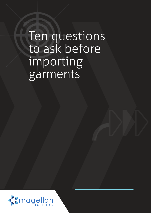# Ten questions to ask before importing garments

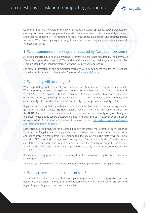$\mathbf{X}$ magellan

Garments imported from Asia and elsewhere around the world represent a large percentage of clothing sold in Australia. As garment importers may be subject to unforeseen duty expenses and seasonal deadlines, it is crucial to engage a knowledgeable, efficient and effective freight forwarder. When investigating your freight forwarder, be sure they can adequately answer all of these questions.

#### 1. What commercial markings are required by Australian customs?

All goods imported into Australia must have commercial markings required by the *Commerce (Trade Descriptions) Act 1905 (CTDA)* and the *Commerce (Imports) Regulations 1940*. For example, retail goods must be marked with the Country of Manufacture.

For more information on the commercial markings your goods might require, call Magellan Logistics or visit the Australian Border Force website www.abf.gov.au.

#### 2. What duty will be charged?

While import duty applies to most goods imported into Australia, rates vary between products. When importing garments, duty paid also depends on whether or not the garments come with 'assists'. An 'assist' is anything that has been added to the garment for shipment, e.g. hangers, or for in-store use, e.g. swing tickets. Because 'assists' aren't integral to the garments, they attract a duty rate based on the specific commodity; e.g. hangers attract a duty of 5%.

If you are importing bulk quantities of garments into Australia and re-exporting smaller quantities to other markets, e.g. New Zealand, Pacific islands, you can apply to be part of the TRADEX scheme. Under this scheme importers can declare quantity of goods being reexported. These goods can be declared exempt from Duty and GST. However, goods must be re-exported within 12 months. For more information log onto https://business.gov.au/grantsand-programs/tradex-scheme.

Some triangular shipments for the fashion industry can attract more complex duty scenarios. For example, Magellan can arrange a shipment of fabric from one country to a factory in another country; e.g. fabric from Italy shipped to a factory in China. The factory will cut, make and trim (CMT) the fabric into garments for export to Australia. In this situation, the duty is calculated on the fabric and freight component from the country of origin to the factory, as well as the CMT costs of the percentage of fabric actually used in the garments plus any 'assists'.

If you are importing garments from Developing Countries you maybe eligible for a discounted rate of duty.

To ensure you know exactly what duty will apply to your goods, contact Magellan Logistics.

#### 3. What are my supplier's terms of sale?

The terms of purchase you negotiate with your supplier affect the shipping costs you are liable to pay. So understanding the following terms will eliminate any nasty surprises with regard to your obligations and any risks involved.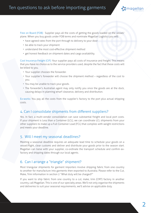## Ten questions to ask before importing garments



Free on Board (FOB): Supplier pays all the costs of getting the goods loaded on the vessel/ plane. When you buy goods under FOB terms and nominate Magellan Logistics you will:

- have agreed rates from the port through to delivery to your door
- be able to track your shipment
- understand the most cost-effective shipment method
- get honest feedback on shipment dates and cargo availability.

Cost Insurance Freight (CIF): Your supplier pays all costs of insurance and freight. This means that you have no choice as to the service providers used, despite the fact that these costs will be billed to you.

- Your supplier chooses the forwarder.
- Your supplier's forwarder will choose the shipment method regardless of the cost to you.
- You may be unable to track your goods.
- The forwarder's Australian agent may only notify you once the goods are at the dock, causing delays in planning wharf clearance, delivery and distribution.

Ex-works: You pay all the costs from the supplier's factory to the port plus actual shipping costs.

#### 4. Can I consolidate shipments from different suppliers?

Yes. In fact, a multi-vendor consolidation can save substantial freight and local port costs. If your shipment is Less than a Container (LCL), we can coordinate LCL shipments from your other suppliers to make up a Full Container Load (FCL) that complies with weight restrictions and meets your deadline.

#### 5. Will I meet my seasonal deadlines?

Meeting a seasonal deadline requires an adequate lead time to schedule your goods on a vessel/flight, clear customs and deliver and distribute your goods prior to the season start. Magellan can liaise with your supplier, co-ordinate the transport schedule and confirm exfactory and shipping dates through our local agents.

#### 6. Can I arrange a "triangle" shipment?

Most triangular shipments for garment importers involve shipping fabric from one country to another for manufacture into garments then exported to Australia. Please refer to the Cut, Make, Trim information in section 2 "What duty will be charged?"

If you want to ship fabric from one country to a cut, make, trim (CMT) factory in another country, call Magellan. This is one of our specialty areas. We'll not only organise the shipments and deliveries to suit your seasonal requirements, we'll advise on applicable duty.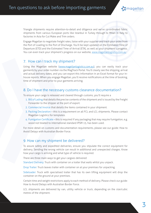Triangle shipments require attention-to-detail and diligence and we've co-ordinated fabric shipments from various European ports like Istanbul in Turkey through to Milan in Italy to factories in Asia for Cut Make and Trim orders.

Engage Magellan to negotiate freight rates, liaise with your supplier and track your order from the Port of Loading to the Port of Discharge. You'll be kept updated on the Estimated Time of Departure (ETD) and the Estimated Time of Arrival (ETA), as well as your shipment's progress. You can even track your shipment's progress on our website, www.magellanlogistics.com.au

#### 7. How can I track my shipment?

Using the Magellan website (www.magellanlogistics.com.au), you can easily track your garments by your order number via the MagTrack Portal. You'll clearly see the shipping, arrival and actual delivery dates, and you can export this information in an Excel format for your inhouse reports. When you engage Magellan, you'll receive notifications at the time of booking, time of shipment and prior to your garments arriving.

#### 8. Do I have the necessary customs clearance documentation?

To ensure your cargo is released and cleared through customs, you'll require a

- 1. Bill of Lading that details the precise contents of the shipment and is issued by the Freight Forwarder to the shipper at the port of export.
- 2. Commercial Invoice that details the items contained in your shipment.
- 3. Packing Declaration this is a requirement on all FCL and LCL shipments. Please contact Magellan Logistics for templates.
- 4. Fumigation Certificate this is required if any packaging that may require fumigation, e.g. wood not treated to international standard IPSM 15, has been used.

For more detail on customs and documentation requirements, please see our guide: How to Avoid Delays with Australian Border Force.

#### 9. How can my shipment be delivered?

To assure safety and expedited deliveries, ensure you stipulate the correct equipment for delivery. Sending the wrong vehicle can result in additional and unexpected charges. Know how your cargo is arriving and what type of vehicle is required.

There are three main ways to get your cargoes delivered:

Standard Delivery: Truck with container on a trailer that waits whilst you unpack.

Drop Trailer: Truck leaves trailer with container on at your premises for unpacking.

Sideloader: Truck with specialised trailer that has its own lifting equipment will drop the container on the ground at your premises.

Certain time and weight restrictions apply to each method of delivery. Please check our guide: How to Avoid Delays with Australian Border Force.

LCL shipments are delivered by van, utility vehicle or truck, depending on the size/cubic metres of the shipment.

magellan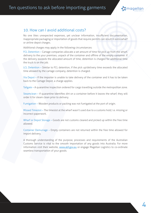## Ten questions to ask before importing garments



#### 10. How can I avoid additional costs?

No one likes unexpected expenses, yet unclear information, insufficient documentation, inappropriate packaging or importation of goods that require permits can result in extra wharf or airline depot charges.

Additional charges may apply in the following circumstances:

FCL Detention – Cartage companies allocate a set amount of time for pick up from the wharf, delivery to the your premises, unpack of the container and offhire of the empty container. If the delivery exceeds the allocated amount of time, detention is charged for additional time the truck is on the job.

LCL Detention – Similar to FCL detention, if the pick up/delivery time exceeds the allocated time allowed by the cartage company, detention is charged.

Via Depot – If the importer is unable to take delivery of the container and it has to be taken back to the Cartage Depot, a charge applies.

Tailgate – A quarantine inspection ordered for cargo travelling outside the metropolitan zone.

Steamclean – If quarantine identifies dirt on a container before it leaves the wharf, they will order it for steam clean prior to delivery.

Fumigation – Wooden products or packing was not fumigated at the port of origin.

Missed Timeslot – The timeslot at the wharf wasn't used due to a customs hold; i.e. missing or incorrect paperwork.

Wharf or Depot Storage – Goods are not customs cleared and picked up within the free time allowed.

Container Demurrage – Empty containers are not returned within the free time allowed for import delivery.

A thorough understanding of the purpose, processes and requirements of the Australian Customs Service is vital to the smooth importation of any goods into Australia. For more information visit their website, www.abf.gov.au or engage Magellan Logistics to co-ordinate seamless transportation of your goods.